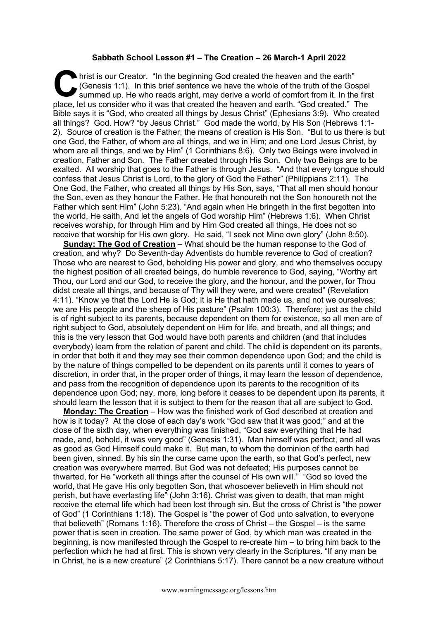## **Sabbath School Lesson #1 – The Creation – 26 March-1 April 2022**

hrist is our Creator. "In the beginning God created the heaven and the earth" (Genesis 1:1). In this brief sentence we have the whole of the truth of the Gospel summed up. He who reads aright, may derive a world of comfort from it. In the first place, let us consider who it was that created the heaven and earth. "God created." The Bible says it is "God, who created all things by Jesus Christ" (Ephesians 3:9). Who created all things? God. How? "by Jesus Christ." God made the world, by His Son (Hebrews 1:1- 2). Source of creation is the Father; the means of creation is His Son. "But to us there is but one God, the Father, of whom are all things, and we in Him; and one Lord Jesus Christ, by whom are all things, and we by Him" (1 Corinthians 8:6). Only two Beings were involved in creation, Father and Son. The Father created through His Son. Only two Beings are to be exalted. All worship that goes to the Father is through Jesus. "And that every tongue should confess that Jesus Christ is Lord, to the glory of God the Father" (Philippians 2:11). The One God, the Father, who created all things by His Son, says, "That all men should honour the Son, even as they honour the Father. He that honoureth not the Son honoureth not the Father which sent Him" (John 5:23). "And again when He bringeth in the first begotten into the world, He saith, And let the angels of God worship Him" (Hebrews 1:6). When Christ receives worship, for through Him and by Him God created all things, He does not so receive that worship for His own glory. He said, "I seek not Mine own glory" (John 8:50). C fris

**Sunday: The God of Creation** – What should be the human response to the God of creation, and why? Do Seventh-day Adventists do humble reverence to God of creation? Those who are nearest to God, beholding His power and glory, and who themselves occupy the highest position of all created beings, do humble reverence to God, saying, "Worthy art Thou, our Lord and our God, to receive the glory, and the honour, and the power, for Thou didst create all things, and because of Thy will they were, and were created" (Revelation 4:11). "Know ye that the Lord He is God; it is He that hath made us, and not we ourselves; we are His people and the sheep of His pasture" (Psalm 100:3). Therefore; just as the child is of right subject to its parents, because dependent on them for existence, so all men are of right subject to God, absolutely dependent on Him for life, and breath, and all things; and this is the very lesson that God would have both parents and children (and that includes everybody) learn from the relation of parent and child. The child is dependent on its parents, in order that both it and they may see their common dependence upon God; and the child is by the nature of things compelled to be dependent on its parents until it comes to years of discretion, in order that, in the proper order of things, it may learn the lesson of dependence, and pass from the recognition of dependence upon its parents to the recognition of its dependence upon God; nay, more, long before it ceases to be dependent upon its parents, it should learn the lesson that it is subject to them for the reason that all are subject to God.

**Monday: The Creation** – How was the finished work of God described at creation and how is it today? At the close of each day's work "God saw that it was good;" and at the close of the sixth day, when everything was finished, "God saw everything that He had made, and, behold, it was very good" (Genesis 1:31). Man himself was perfect, and all was as good as God Himself could make it. But man, to whom the dominion of the earth had been given, sinned. By his sin the curse came upon the earth, so that God's perfect, new creation was everywhere marred. But God was not defeated; His purposes cannot be thwarted, for He "worketh all things after the counsel of His own will." "God so loved the world, that He gave His only begotten Son, that whosoever believeth in Him should not perish, but have everlasting life" (John 3:16). Christ was given to death, that man might receive the eternal life which had been lost through sin. But the cross of Christ is "the power of God" (1 Corinthians 1:18). The Gospel is "the power of God unto salvation, to everyone that believeth" (Romans 1:16). Therefore the cross of Christ – the Gospel – is the same power that is seen in creation. The same power of God, by which man was created in the beginning, is now manifested through the Gospel to re-create him – to bring him back to the perfection which he had at first. This is shown very clearly in the Scriptures. "If any man be in Christ, he is a new creature" (2 Corinthians 5:17). There cannot be a new creature without